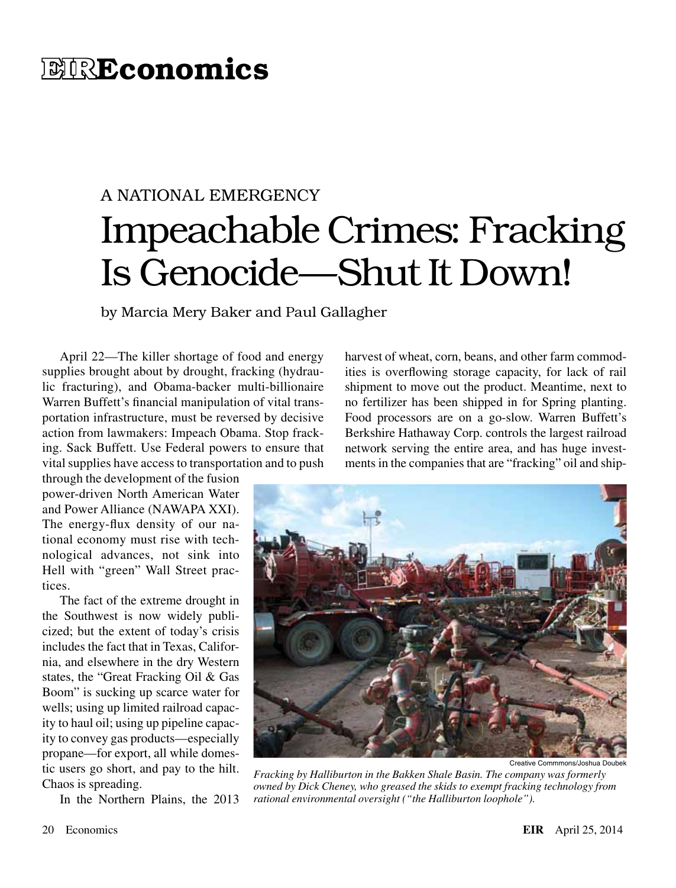## **EIREconomics**

# A NATIONAL EMERGENCY Impeachable Crimes: Fracking Is Genocide—Shut It Down!

by Marcia Mery Baker and Paul Gallagher

April 22—The killer shortage of food and energy supplies brought about by drought, fracking (hydraulic fracturing), and Obama-backer multi-billionaire Warren Buffett's financial manipulation of vital transportation infrastructure, must be reversed by decisive action from lawmakers: Impeach Obama. Stop fracking. Sack Buffett. Use Federal powers to ensure that vital supplies have access to transportation and to push

through the development of the fusion power-driven North American Water and Power Alliance (NAWAPA XXI). The energy-flux density of our national economy must rise with technological advances, not sink into Hell with "green" Wall Street practices.

The fact of the extreme drought in the Southwest is now widely publicized; but the extent of today's crisis includes the fact that in Texas, California, and elsewhere in the dry Western states, the "Great Fracking Oil & Gas Boom" is sucking up scarce water for wells; using up limited railroad capacity to haul oil; using up pipeline capacity to convey gas products—especially propane—for export, all while domestic users go short, and pay to the hilt. Chaos is spreading.

In the Northern Plains, the 2013

harvest of wheat, corn, beans, and other farm commodities is overflowing storage capacity, for lack of rail shipment to move out the product. Meantime, next to no fertilizer has been shipped in for Spring planting. Food processors are on a go-slow. Warren Buffett's Berkshire Hathaway Corp. controls the largest railroad network serving the entire area, and has huge investments in the companies that are "fracking" oil and ship-



Creative Commmons/Joshua Doubek

*Fracking by Halliburton in the Bakken Shale Basin. The company was formerly owned by Dick Cheney, who greased the skids to exempt fracking technology from rational environmental oversight ("the Halliburton loophole").*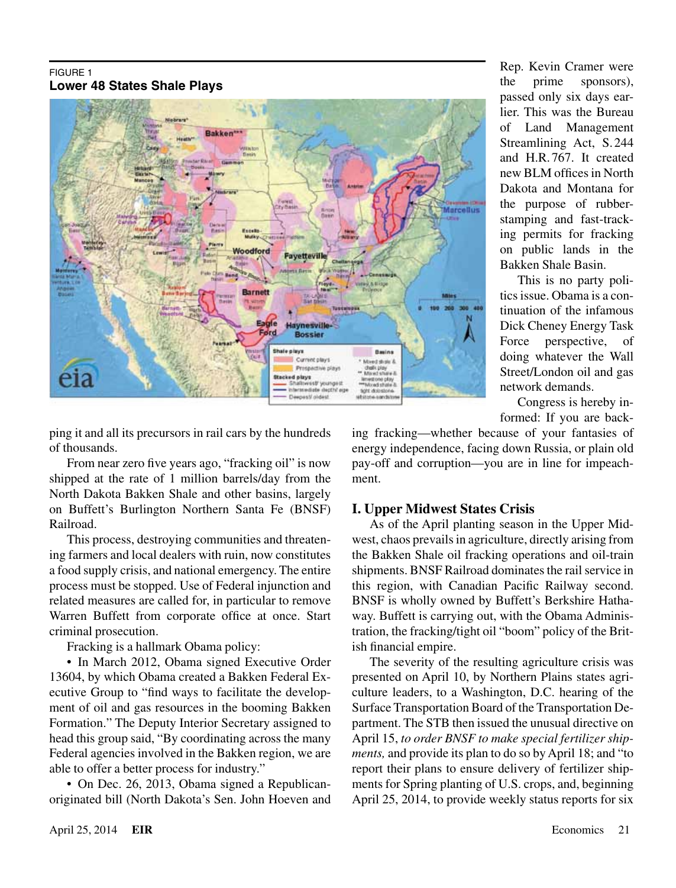#### FIGURE 1 **Lower 48 States Shale Plays**



Rep. Kevin Cramer were the prime sponsors), passed only six days earlier. This was the Bureau of Land Management Streamlining Act, S. 244 and H.R. 767. It created new BLM offices in North Dakota and Montana for the purpose of rubberstamping and fast-tracking permits for fracking on public lands in the Bakken Shale Basin.

This is no party politics issue. Obama is a continuation of the infamous Dick Cheney Energy Task Force perspective, of doing whatever the Wall Street/London oil and gas network demands.

Congress is hereby informed: If you are back-

ping it and all its precursors in rail cars by the hundreds of thousands.

From near zero five years ago, "fracking oil" is now shipped at the rate of 1 million barrels/day from the North Dakota Bakken Shale and other basins, largely on Buffett's Burlington Northern Santa Fe (BNSF) Railroad.

This process, destroying communities and threatening farmers and local dealers with ruin, now constitutes a food supply crisis, and national emergency. The entire process must be stopped. Use of Federal injunction and related measures are called for, in particular to remove Warren Buffett from corporate office at once. Start criminal prosecution.

Fracking is a hallmark Obama policy:

• In March 2012, Obama signed Executive Order 13604, by which Obama created a Bakken Federal Executive Group to "find ways to facilitate the development of oil and gas resources in the booming Bakken Formation." The Deputy Interior Secretary assigned to head this group said, "By coordinating across the many Federal agencies involved in the Bakken region, we are able to offer a better process for industry."

• On Dec. 26, 2013, Obama signed a Republicanoriginated bill (North Dakota's Sen. John Hoeven and ing fracking—whether because of your fantasies of energy independence, facing down Russia, or plain old pay-off and corruption—you are in line for impeachment.

### **I. Upper Midwest States Crisis**

As of the April planting season in the Upper Midwest, chaos prevails in agriculture, directly arising from the Bakken Shale oil fracking operations and oil-train shipments. BNSF Railroad dominates the rail service in this region, with Canadian Pacific Railway second. BNSF is wholly owned by Buffett's Berkshire Hathaway. Buffett is carrying out, with the Obama Administration, the fracking/tight oil "boom" policy of the British financial empire.

The severity of the resulting agriculture crisis was presented on April 10, by Northern Plains states agriculture leaders, to a Washington, D.C. hearing of the Surface Transportation Board of the Transportation Department. The STB then issued the unusual directive on April 15, *to order BNSF to make special fertilizer shipments,* and provide its plan to do so by April 18; and "to report their plans to ensure delivery of fertilizer shipments for Spring planting of U.S. crops, and, beginning April 25, 2014, to provide weekly status reports for six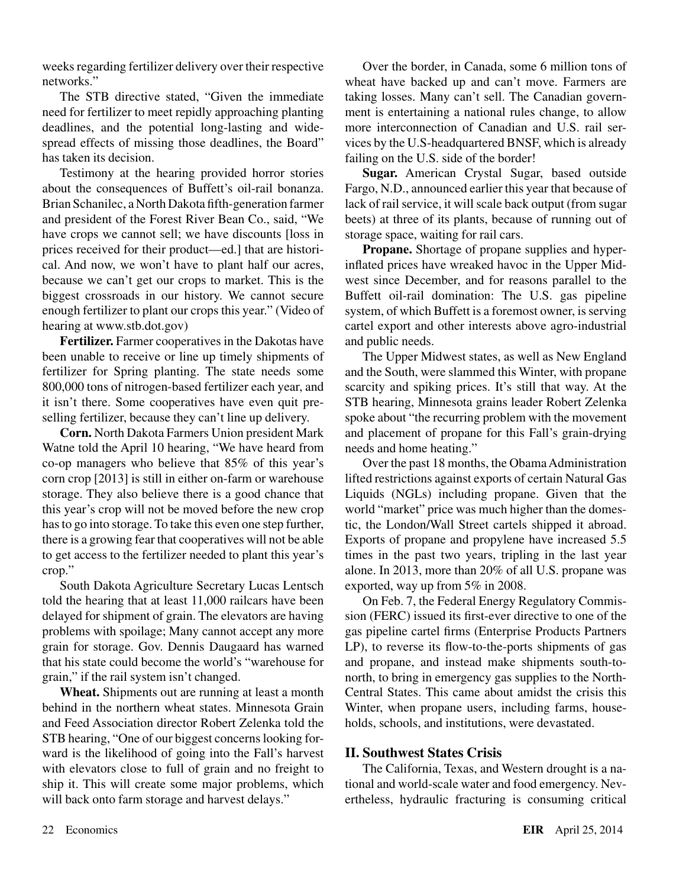weeks regarding fertilizer delivery over their respective networks."

The STB directive stated, "Given the immediate need for fertilizer to meet repidly approaching planting deadlines, and the potential long-lasting and widespread effects of missing those deadlines, the Board" has taken its decision.

Testimony at the hearing provided horror stories about the consequences of Buffett's oil-rail bonanza. Brian Schanilec, a North Dakota fifth-generation farmer and president of the Forest River Bean Co., said, "We have crops we cannot sell; we have discounts [loss in prices received for their product—ed.] that are historical. And now, we won't have to plant half our acres, because we can't get our crops to market. This is the biggest crossroads in our history. We cannot secure enough fertilizer to plant our crops this year." (Video of hearing at www.stb.dot.gov)

**Fertilizer.** Farmer cooperatives in the Dakotas have been unable to receive or line up timely shipments of fertilizer for Spring planting. The state needs some 800,000 tons of nitrogen-based fertilizer each year, and it isn't there. Some cooperatives have even quit preselling fertilizer, because they can't line up delivery.

**Corn.** North Dakota Farmers Union president Mark Watne told the April 10 hearing, "We have heard from co-op managers who believe that 85% of this year's corn crop [2013] is still in either on-farm or warehouse storage. They also believe there is a good chance that this year's crop will not be moved before the new crop has to go into storage. To take this even one step further, there is a growing fear that cooperatives will not be able to get access to the fertilizer needed to plant this year's crop."

South Dakota Agriculture Secretary Lucas Lentsch told the hearing that at least 11,000 railcars have been delayed for shipment of grain. The elevators are having problems with spoilage; Many cannot accept any more grain for storage. Gov. Dennis Daugaard has warned that his state could become the world's "warehouse for grain," if the rail system isn't changed.

**Wheat.** Shipments out are running at least a month behind in the northern wheat states. Minnesota Grain and Feed Association director Robert Zelenka told the STB hearing, "One of our biggest concerns looking forward is the likelihood of going into the Fall's harvest with elevators close to full of grain and no freight to ship it. This will create some major problems, which will back onto farm storage and harvest delays."

Over the border, in Canada, some 6 million tons of wheat have backed up and can't move. Farmers are taking losses. Many can't sell. The Canadian government is entertaining a national rules change, to allow more interconnection of Canadian and U.S. rail services by the U.S-headquartered BNSF, which is already failing on the U.S. side of the border!

**Sugar.** American Crystal Sugar, based outside Fargo, N.D., announced earlier this year that because of lack of rail service, it will scale back output (from sugar beets) at three of its plants, because of running out of storage space, waiting for rail cars.

**Propane.** Shortage of propane supplies and hyperinflated prices have wreaked havoc in the Upper Midwest since December, and for reasons parallel to the Buffett oil-rail domination: The U.S. gas pipeline system, of which Buffett is a foremost owner, is serving cartel export and other interests above agro-industrial and public needs.

The Upper Midwest states, as well as New England and the South, were slammed this Winter, with propane scarcity and spiking prices. It's still that way. At the STB hearing, Minnesota grains leader Robert Zelenka spoke about "the recurring problem with the movement and placement of propane for this Fall's grain-drying needs and home heating."

Over the past 18 months, the Obama Administration lifted restrictions against exports of certain Natural Gas Liquids (NGLs) including propane. Given that the world "market" price was much higher than the domestic, the London/Wall Street cartels shipped it abroad. Exports of propane and propylene have increased 5.5 times in the past two years, tripling in the last year alone. In 2013, more than 20% of all U.S. propane was exported, way up from 5% in 2008.

On Feb. 7, the Federal Energy Regulatory Commission (FERC) issued its first-ever directive to one of the gas pipeline cartel firms (Enterprise Products Partners LP), to reverse its flow-to-the-ports shipments of gas and propane, and instead make shipments south-tonorth, to bring in emergency gas supplies to the North-Central States. This came about amidst the crisis this Winter, when propane users, including farms, households, schools, and institutions, were devastated.

#### **II. Southwest States Crisis**

The California, Texas, and Western drought is a national and world-scale water and food emergency. Nevertheless, hydraulic fracturing is consuming critical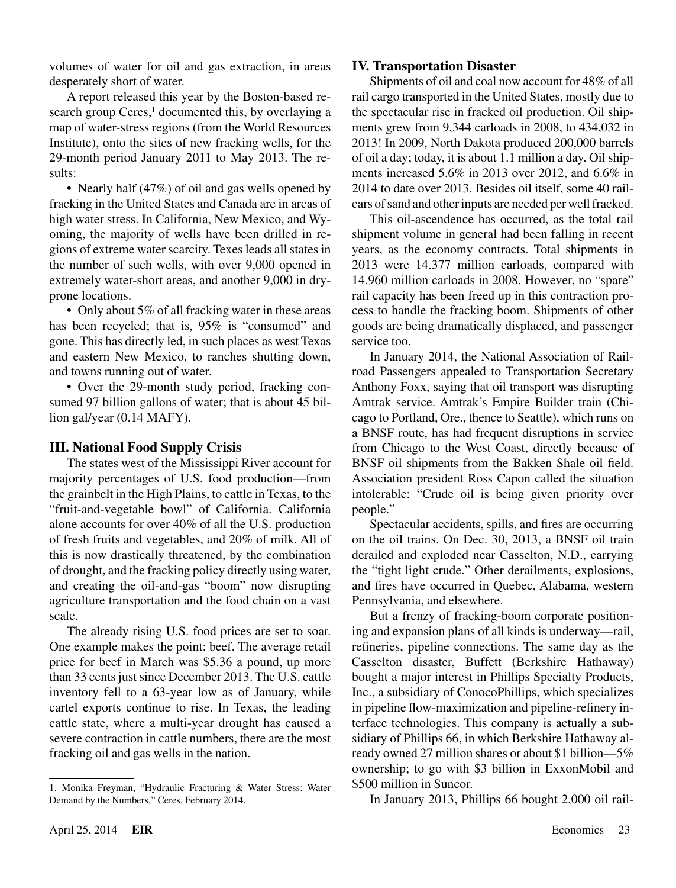volumes of water for oil and gas extraction, in areas desperately short of water.

A report released this year by the Boston-based research group Ceres,<sup>1</sup> documented this, by overlaying a map of water-stress regions (from the World Resources Institute), onto the sites of new fracking wells, for the 29-month period January 2011 to May 2013. The results:

• Nearly half (47%) of oil and gas wells opened by fracking in the United States and Canada are in areas of high water stress. In California, New Mexico, and Wyoming, the majority of wells have been drilled in regions of extreme water scarcity. Texes leads all states in the number of such wells, with over 9,000 opened in extremely water-short areas, and another 9,000 in dryprone locations.

• Only about 5% of all fracking water in these areas has been recycled; that is, 95% is "consumed" and gone. This has directly led, in such places as west Texas and eastern New Mexico, to ranches shutting down, and towns running out of water.

• Over the 29-month study period, fracking consumed 97 billion gallons of water; that is about 45 billion gal/year (0.14 MAFY).

#### **III. National Food Supply Crisis**

The states west of the Mississippi River account for majority percentages of U.S. food production—from the grainbelt in the High Plains, to cattle in Texas, to the "fruit-and-vegetable bowl" of California. California alone accounts for over 40% of all the U.S. production of fresh fruits and vegetables, and 20% of milk. All of this is now drastically threatened, by the combination of drought, and the fracking policy directly using water, and creating the oil-and-gas "boom" now disrupting agriculture transportation and the food chain on a vast scale.

The already rising U.S. food prices are set to soar. One example makes the point: beef. The average retail price for beef in March was \$5.36 a pound, up more than 33 cents just since December 2013. The U.S. cattle inventory fell to a 63-year low as of January, while cartel exports continue to rise. In Texas, the leading cattle state, where a multi-year drought has caused a severe contraction in cattle numbers, there are the most fracking oil and gas wells in the nation.

#### **IV. Transportation Disaster**

Shipments of oil and coal now account for 48% of all rail cargo transported in the United States, mostly due to the spectacular rise in fracked oil production. Oil shipments grew from 9,344 carloads in 2008, to 434,032 in 2013! In 2009, North Dakota produced 200,000 barrels of oil a day; today, it is about 1.1 million a day. Oil shipments increased 5.6% in 2013 over 2012, and 6.6% in 2014 to date over 2013. Besides oil itself, some 40 railcars of sand and other inputs are needed per well fracked.

This oil-ascendence has occurred, as the total rail shipment volume in general had been falling in recent years, as the economy contracts. Total shipments in 2013 were 14.377 million carloads, compared with 14.960 million carloads in 2008. However, no "spare" rail capacity has been freed up in this contraction process to handle the fracking boom. Shipments of other goods are being dramatically displaced, and passenger service too.

In January 2014, the National Association of Railroad Passengers appealed to Transportation Secretary Anthony Foxx, saying that oil transport was disrupting Amtrak service. Amtrak's Empire Builder train (Chicago to Portland, Ore., thence to Seattle), which runs on a BNSF route, has had frequent disruptions in service from Chicago to the West Coast, directly because of BNSF oil shipments from the Bakken Shale oil field. Association president Ross Capon called the situation intolerable: "Crude oil is being given priority over people."

Spectacular accidents, spills, and fires are occurring on the oil trains. On Dec. 30, 2013, a BNSF oil train derailed and exploded near Casselton, N.D., carrying the "tight light crude." Other derailments, explosions, and fires have occurred in Quebec, Alabama, western Pennsylvania, and elsewhere.

But a frenzy of fracking-boom corporate positioning and expansion plans of all kinds is underway—rail, refineries, pipeline connections. The same day as the Casselton disaster, Buffett (Berkshire Hathaway) bought a major interest in Phillips Specialty Products, Inc., a subsidiary of ConocoPhillips, which specializes in pipeline flow-maximization and pipeline-refinery interface technologies. This company is actually a subsidiary of Phillips 66, in which Berkshire Hathaway already owned 27 million shares or about \$1 billion—5% ownership; to go with \$3 billion in ExxonMobil and \$500 million in Suncor.

In January 2013, Phillips 66 bought 2,000 oil rail-

<sup>1.</sup> Monika Freyman, "Hydraulic Fracturing & Water Stress: Water Demand by the Numbers," Ceres, February 2014.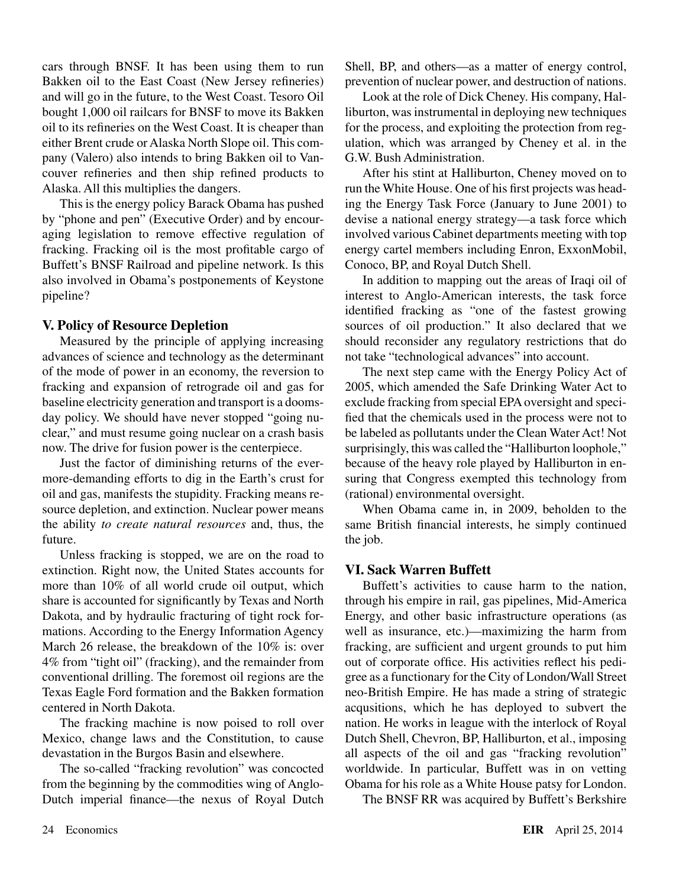cars through BNSF. It has been using them to run Bakken oil to the East Coast (New Jersey refineries) and will go in the future, to the West Coast. Tesoro Oil bought 1,000 oil railcars for BNSF to move its Bakken oil to its refineries on the West Coast. It is cheaper than either Brent crude or Alaska North Slope oil. This company (Valero) also intends to bring Bakken oil to Vancouver refineries and then ship refined products to Alaska. All this multiplies the dangers.

This is the energy policy Barack Obama has pushed by "phone and pen" (Executive Order) and by encouraging legislation to remove effective regulation of fracking. Fracking oil is the most profitable cargo of Buffett's BNSF Railroad and pipeline network. Is this also involved in Obama's postponements of Keystone pipeline?

#### **V. Policy of Resource Depletion**

Measured by the principle of applying increasing advances of science and technology as the determinant of the mode of power in an economy, the reversion to fracking and expansion of retrograde oil and gas for baseline electricity generation and transport is a doomsday policy. We should have never stopped "going nuclear," and must resume going nuclear on a crash basis now. The drive for fusion power is the centerpiece.

Just the factor of diminishing returns of the evermore-demanding efforts to dig in the Earth's crust for oil and gas, manifests the stupidity. Fracking means resource depletion, and extinction. Nuclear power means the ability *to create natural resources* and, thus, the future.

Unless fracking is stopped, we are on the road to extinction. Right now, the United States accounts for more than 10% of all world crude oil output, which share is accounted for significantly by Texas and North Dakota, and by hydraulic fracturing of tight rock formations. According to the Energy Information Agency March 26 release, the breakdown of the 10% is: over 4% from "tight oil" (fracking), and the remainder from conventional drilling. The foremost oil regions are the Texas Eagle Ford formation and the Bakken formation centered in North Dakota.

The fracking machine is now poised to roll over Mexico, change laws and the Constitution, to cause devastation in the Burgos Basin and elsewhere.

The so-called "fracking revolution" was concocted from the beginning by the commodities wing of Anglo-Dutch imperial finance—the nexus of Royal Dutch Shell, BP, and others—as a matter of energy control, prevention of nuclear power, and destruction of nations.

Look at the role of Dick Cheney. His company, Halliburton, was instrumental in deploying new techniques for the process, and exploiting the protection from regulation, which was arranged by Cheney et al. in the G.W. Bush Administration.

After his stint at Halliburton, Cheney moved on to run the White House. One of his first projects was heading the Energy Task Force (January to June 2001) to devise a national energy strategy—a task force which involved various Cabinet departments meeting with top energy cartel members including Enron, ExxonMobil, Conoco, BP, and Royal Dutch Shell.

In addition to mapping out the areas of Iraqi oil of interest to Anglo-American interests, the task force identified fracking as "one of the fastest growing sources of oil production." It also declared that we should reconsider any regulatory restrictions that do not take "technological advances" into account.

The next step came with the Energy Policy Act of 2005, which amended the Safe Drinking Water Act to exclude fracking from special EPA oversight and specified that the chemicals used in the process were not to be labeled as pollutants under the Clean Water Act! Not surprisingly, this was called the "Halliburton loophole," because of the heavy role played by Halliburton in ensuring that Congress exempted this technology from (rational) environmental oversight.

When Obama came in, in 2009, beholden to the same British financial interests, he simply continued the job.

#### **VI. Sack Warren Buffett**

Buffett's activities to cause harm to the nation, through his empire in rail, gas pipelines, Mid-America Energy, and other basic infrastructure operations (as well as insurance, etc.)—maximizing the harm from fracking, are sufficient and urgent grounds to put him out of corporate office. His activities reflect his pedigree as a functionary for the City of London/Wall Street neo-British Empire. He has made a string of strategic acqusitions, which he has deployed to subvert the nation. He works in league with the interlock of Royal Dutch Shell, Chevron, BP, Halliburton, et al., imposing all aspects of the oil and gas "fracking revolution" worldwide. In particular, Buffett was in on vetting Obama for his role as a White House patsy for London.

The BNSF RR was acquired by Buffett's Berkshire